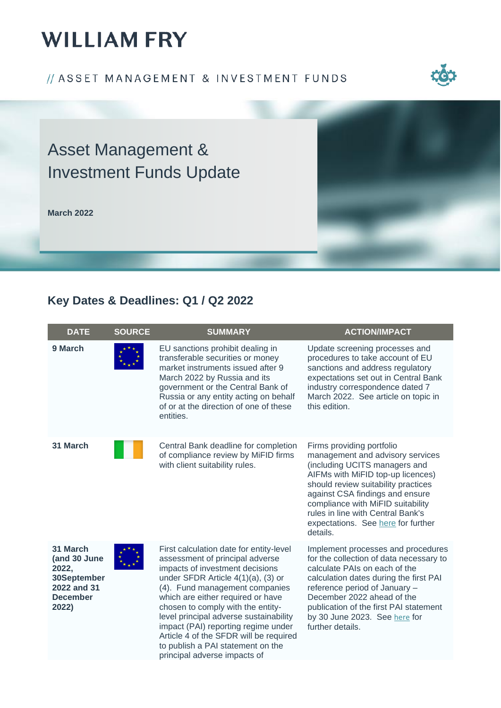## // ASSET MANAGEMENT & INVESTMENT FUNDS



# Asset Management & Investment Funds Update

**March 2022**



## **Key Dates & Deadlines: Q1 / Q2 2022**

| <b>DATE</b>                                                                                 | <b>SOURCE</b> | <b>SUMMARY</b>                                                                                                                                                                                                                                                                                                                                                                                                                                                     | <b>ACTION/IMPACT</b>                                                                                                                                                                                                                                                                                                                      |
|---------------------------------------------------------------------------------------------|---------------|--------------------------------------------------------------------------------------------------------------------------------------------------------------------------------------------------------------------------------------------------------------------------------------------------------------------------------------------------------------------------------------------------------------------------------------------------------------------|-------------------------------------------------------------------------------------------------------------------------------------------------------------------------------------------------------------------------------------------------------------------------------------------------------------------------------------------|
| 9 March                                                                                     |               | EU sanctions prohibit dealing in<br>transferable securities or money<br>market instruments issued after 9<br>March 2022 by Russia and its<br>government or the Central Bank of<br>Russia or any entity acting on behalf<br>of or at the direction of one of these<br>entities.                                                                                                                                                                                     | Update screening processes and<br>procedures to take account of EU<br>sanctions and address regulatory<br>expectations set out in Central Bank<br>industry correspondence dated 7<br>March 2022. See article on topic in<br>this edition.                                                                                                 |
| 31 March                                                                                    |               | Central Bank deadline for completion<br>of compliance review by MiFID firms<br>with client suitability rules.                                                                                                                                                                                                                                                                                                                                                      | Firms providing portfolio<br>management and advisory services<br>(including UCITS managers and<br>AIFMs with MiFID top-up licences)<br>should review suitability practices<br>against CSA findings and ensure<br>compliance with MiFID suitability<br>rules in line with Central Bank's<br>expectations. See here for further<br>details. |
| 31 March<br>(and 30 June<br>2022,<br>30September<br>2022 and 31<br><b>December</b><br>2022) |               | First calculation date for entity-level<br>assessment of principal adverse<br>impacts of investment decisions<br>under SFDR Article $4(1)(a)$ , (3) or<br>(4). Fund management companies<br>which are either required or have<br>chosen to comply with the entity-<br>level principal adverse sustainability<br>impact (PAI) reporting regime under<br>Article 4 of the SFDR will be required<br>to publish a PAI statement on the<br>principal adverse impacts of | Implement processes and procedures<br>for the collection of data necessary to<br>calculate PAIs on each of the<br>calculation dates during the first PAI<br>reference period of January -<br>December 2022 ahead of the<br>publication of the first PAI statement<br>by 30 June 2023. See here for<br>further details.                    |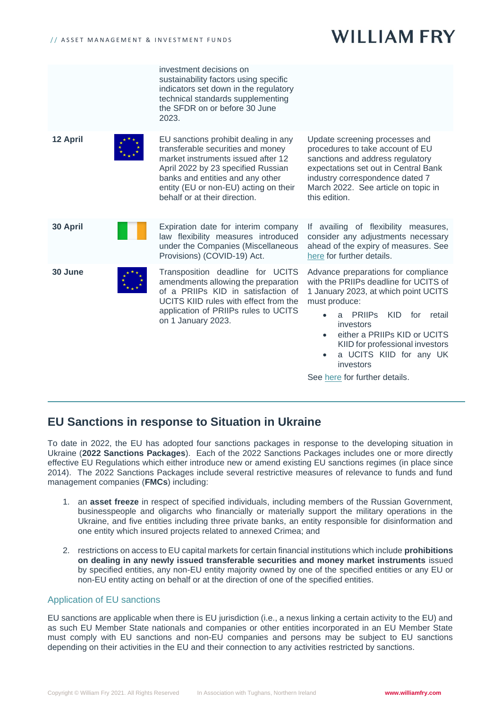|          | investment decisions on<br>sustainability factors using specific<br>indicators set down in the regulatory<br>technical standards supplementing<br>the SFDR on or before 30 June<br>2023.                                                                            |                                                                                                                                                                                                                                                                                                                              |
|----------|---------------------------------------------------------------------------------------------------------------------------------------------------------------------------------------------------------------------------------------------------------------------|------------------------------------------------------------------------------------------------------------------------------------------------------------------------------------------------------------------------------------------------------------------------------------------------------------------------------|
| 12 April | EU sanctions prohibit dealing in any<br>transferable securities and money<br>market instruments issued after 12<br>April 2022 by 23 specified Russian<br>banks and entities and any other<br>entity (EU or non-EU) acting on their<br>behalf or at their direction. | Update screening processes and<br>procedures to take account of EU<br>sanctions and address regulatory<br>expectations set out in Central Bank<br>industry correspondence dated 7<br>March 2022. See article on topic in<br>this edition.                                                                                    |
| 30 April | Expiration date for interim company<br>law flexibility measures introduced<br>under the Companies (Miscellaneous<br>Provisions) (COVID-19) Act.                                                                                                                     | If availing of flexibility measures,<br>consider any adjustments necessary<br>ahead of the expiry of measures. See<br>here for further details.                                                                                                                                                                              |
| 30 June  | Transposition deadline for UCITS<br>amendments allowing the preparation<br>of a PRIIPs KID in satisfaction of<br>UCITS KIID rules with effect from the<br>application of PRIIPs rules to UCITS<br>on 1 January 2023.                                                | Advance preparations for compliance<br>with the PRIIPs deadline for UCITS of<br>1 January 2023, at which point UCITS<br>must produce:<br><b>PRIIPS</b><br><b>KID</b><br>for retail<br>a<br>investors<br>either a PRIIPs KID or UCITS<br>$\bullet$<br>KIID for professional investors<br>a UCITS KIID for any UK<br>investors |

See [here](https://www.williamfry.com/docs/default-source/funds-updates/priips-exemption-for-ucits-extended-to-december-2022.pdf?sfvrsn=b706e75f_0) for further details.

## **EU Sanctions in response to Situation in Ukraine**

To date in 2022, the EU has adopted four sanctions packages in response to the developing situation in Ukraine (**2022 Sanctions Packages**). Each of the 2022 Sanctions Packages includes one or more directly effective EU Regulations which either introduce new or amend existing EU sanctions regimes (in place since 2014). The 2022 Sanctions Packages include several restrictive measures of relevance to funds and fund management companies (**FMCs**) including:

- 1. an **asset freeze** in respect of specified individuals, including members of the Russian Government, businesspeople and oligarchs who financially or materially support the military operations in the Ukraine, and five entities including three private banks, an entity responsible for disinformation and one entity which insured projects related to annexed Crimea; and
- 2. restrictions on access to EU capital markets for certain financial institutions which include **prohibitions on dealing in any newly issued transferable securities and money market instruments** issued by specified entities, any non-EU entity majority owned by one of the specified entities or any EU or non-EU entity acting on behalf or at the direction of one of the specified entities.

## Application of EU sanctions

EU sanctions are applicable when there is EU jurisdiction (i.e., a nexus linking a certain activity to the EU) and as such EU Member State nationals and companies or other entities incorporated in an EU Member State must comply with EU sanctions and non-EU companies and persons may be subject to EU sanctions depending on their activities in the EU and their connection to any activities restricted by sanctions.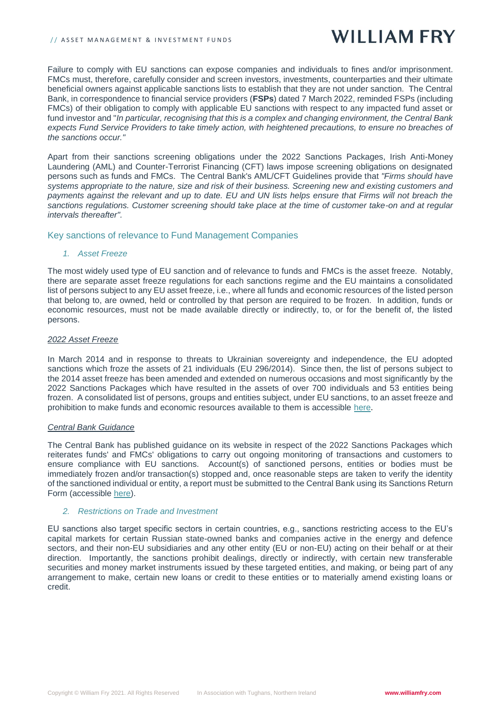#### // ASSET MANAGEMENT & INVESTMENT FUNDS

# **WILLIAM FRY**

Failure to comply with EU sanctions can expose companies and individuals to fines and/or imprisonment. FMCs must, therefore, carefully consider and screen investors, investments, counterparties and their ultimate beneficial owners against applicable sanctions lists to establish that they are not under sanction. The Central Bank, in correspondence to financial service providers (**FSPs**) dated 7 March 2022, reminded FSPs (including FMCs) of their obligation to comply with applicable EU sanctions with respect to any impacted fund asset or fund investor and "*In particular, recognising that this is a complex and changing environment, the Central Bank expects Fund Service Providers to take timely action, with heightened precautions, to ensure no breaches of the sanctions occur."* 

Apart from their sanctions screening obligations under the 2022 Sanctions Packages, Irish Anti-Money Laundering (AML) and Counter-Terrorist Financing (CFT) laws impose screening obligations on designated persons such as funds and FMCs. The Central Bank's AML/CFT Guidelines provide that *"Firms should have systems appropriate to the nature, size and risk of their business. Screening new and existing customers and payments against the relevant and up to date. EU and UN lists helps ensure that Firms will not breach the sanctions regulations. Customer screening should take place at the time of customer take-on and at regular intervals thereafter".*

## Key sanctions of relevance to Fund Management Companies

## *1. Asset Freeze*

The most widely used type of EU sanction and of relevance to funds and FMCs is the asset freeze. Notably, there are separate asset freeze regulations for each sanctions regime and the EU maintains a consolidated list of persons subject to any EU asset freeze, i.e., where all funds and economic resources of the listed person that belong to, are owned, held or controlled by that person are required to be frozen. In addition, funds or economic resources, must not be made available directly or indirectly, to, or for the benefit of, the listed persons.

## *2022 Asset Freeze*

In March 2014 and in response to threats to Ukrainian sovereignty and independence, the EU adopted sanctions which froze the assets of 21 individuals (EU 296/2014). Since then, the list of persons subject to the 2014 asset freeze has been amended and extended on numerous occasions and most significantly by the 2022 Sanctions Packages which have resulted in the assets of over 700 individuals and 53 entities being frozen. A consolidated list of persons, groups and entities subject, under EU sanctions, to an asset freeze and prohibition to make funds and economic resources available to them is accessible [here.](https://ec.europa.eu/info/business-economy-euro/banking-and-finance/international-relations/restrictive-measures-sanctions_en#list)

### *Central Bank Guidance*

The Central Bank has published guidance on its website in respect of the 2022 Sanctions Packages which reiterates funds' and FMCs' obligations to carry out ongoing monitoring of transactions and customers to ensure compliance with EU sanctions. Account(s) of sanctioned persons, entities or bodies must be immediately frozen and/or transaction(s) stopped and, once reasonable steps are taken to verify the identity of the sanctioned individual or entity, a report must be submitted to the Central Bank using its Sanctions Return Form (accessible [here\)](https://www.centralbank.ie/regulation/how-we-regulate/international-financial-sanctions/changes-to-the-russia-ukraine-regulations).

### *2. Restrictions on Trade and Investment*

EU sanctions also target specific sectors in certain countries, e.g., sanctions restricting access to the EU's capital markets for certain Russian state-owned banks and companies active in the energy and defence sectors, and their non-EU subsidiaries and any other entity (EU or non-EU) acting on their behalf or at their direction. Importantly, the sanctions prohibit dealings, directly or indirectly, with certain new transferable securities and money market instruments issued by these targeted entities, and making, or being part of any arrangement to make, certain new loans or credit to these entities or to materially amend existing loans or credit.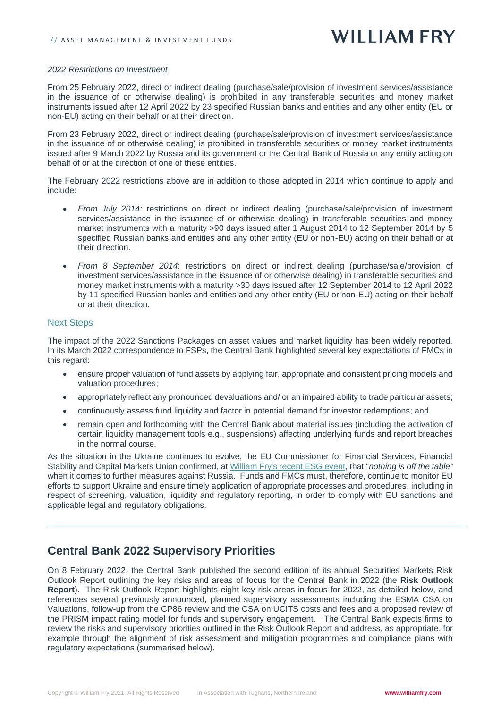### *2022 Restrictions on Investment*

From 25 February 2022, direct or indirect dealing (purchase/sale/provision of investment services/assistance in the issuance of or otherwise dealing) is prohibited in any transferable securities and money market instruments issued after 12 April 2022 by 23 specified Russian banks and entities and any other entity (EU or non-EU) acting on their behalf or at their direction.

From 23 February 2022, direct or indirect dealing (purchase/sale/provision of investment services/assistance in the issuance of or otherwise dealing) is prohibited in transferable securities or money market instruments issued after 9 March 2022 by Russia and its government or the Central Bank of Russia or any entity acting on behalf of or at the direction of one of these entities.

The February 2022 restrictions above are in addition to those adopted in 2014 which continue to apply and include:

- *From July 2014:* restrictions on direct or indirect dealing (purchase/sale/provision of investment services/assistance in the issuance of or otherwise dealing) in transferable securities and money market instruments with a maturity >90 days issued after 1 August 2014 to 12 September 2014 by 5 specified Russian banks and entities and any other entity (EU or non-EU) acting on their behalf or at their direction.
- *From 8 September 2014*: restrictions on direct or indirect dealing (purchase/sale/provision of investment services/assistance in the issuance of or otherwise dealing) in transferable securities and money market instruments with a maturity >30 days issued after 12 September 2014 to 12 April 2022 by 11 specified Russian banks and entities and any other entity (EU or non-EU) acting on their behalf or at their direction.

### Next Steps

The impact of the 2022 Sanctions Packages on asset values and market liquidity has been widely reported. In its March 2022 correspondence to FSPs, the Central Bank highlighted several key expectations of FMCs in this regard:

- ensure proper valuation of fund assets by applying fair, appropriate and consistent pricing models and valuation procedures;
- appropriately reflect any pronounced devaluations and/ or an impaired ability to trade particular assets;
- continuously assess fund liquidity and factor in potential demand for investor redemptions; and
- remain open and forthcoming with the Central Bank about material issues (including the activation of certain liquidity management tools e.g., suspensions) affecting underlying funds and report breaches in the normal course.

As the situation in the Ukraine continues to evolve, the EU Commissioner for Financial Services, Financial Stability and Capital Markets Union confirmed, at [William Fry's recent ESG event,](https://www.williamfry.com/newsandinsights/news-article/2022/03/04/commissioner-mcguinness-stresses-importance-of-private-investment-for-success-of-european-green-deal-in-remarks-to-irish-businesses) that "*nothing is off the table"* when it comes to further measures against Russia. Funds and FMCs must, therefore, continue to monitor EU efforts to support Ukraine and ensure timely application of appropriate processes and procedures, including in respect of screening, valuation, liquidity and regulatory reporting, in order to comply with EU sanctions and applicable legal and regulatory obligations.

## **Central Bank 2022 Supervisory Priorities**

On 8 February 2022, the Central Bank published the second edition of its annual Securities Markets Risk Outlook Report outlining the key risks and areas of focus for the Central Bank in 2022 (the **Risk Outlook Report**). The Risk Outlook Report highlights eight key risk areas in focus for 2022, as detailed below, and references several previously announced, planned supervisory assessments including the ESMA CSA on Valuations, follow-up from the CP86 review and the CSA on UCITS costs and fees and a proposed review of the PRISM impact rating model for funds and supervisory engagement. The Central Bank expects firms to review the risks and supervisory priorities outlined in the Risk Outlook Report and address, as appropriate, for example through the alignment of risk assessment and mitigation programmes and compliance plans with regulatory expectations (summarised below).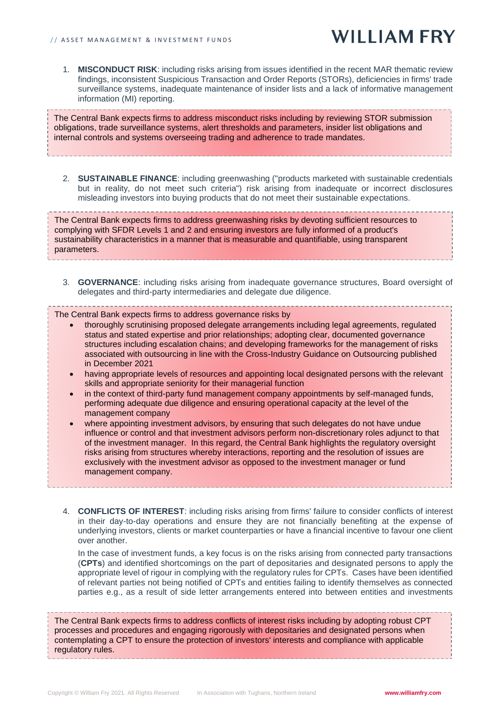1. **MISCONDUCT RISK**: including risks arising from issues identified in the recent MAR thematic review findings, inconsistent Suspicious Transaction and Order Reports (STORs), deficiencies in firms' trade surveillance systems, inadequate maintenance of insider lists and a lack of informative management information (MI) reporting.

The Central Bank expects firms to address misconduct risks including by reviewing STOR submission obligations, trade surveillance systems, alert thresholds and parameters, insider list obligations and internal controls and systems overseeing trading and adherence to trade mandates.

2. **SUSTAINABLE FINANCE**: including greenwashing ("products marketed with sustainable credentials but in reality, do not meet such criteria") risk arising from inadequate or incorrect disclosures misleading investors into buying products that do not meet their sustainable expectations.

The Central Bank expects firms to address greenwashing risks by devoting sufficient resources to complying with SFDR Levels 1 and 2 and ensuring investors are fully informed of a product's sustainability characteristics in a manner that is measurable and quantifiable, using transparent parameters.

3. **GOVERNANCE**: including risks arising from inadequate governance structures, Board oversight of delegates and third-party intermediaries and delegate due diligence.

The Central Bank expects firms to address governance risks by

- thoroughly scrutinising proposed delegate arrangements including legal agreements, regulated status and stated expertise and prior relationships; adopting clear, documented governance structures including escalation chains; and developing frameworks for the management of risks associated with outsourcing in line with the Cross-Industry Guidance on Outsourcing published in December 2021
- having appropriate levels of resources and appointing local designated persons with the relevant skills and appropriate seniority for their managerial function
- in the context of third-party fund management company appointments by self-managed funds, performing adequate due diligence and ensuring operational capacity at the level of the management company
- where appointing investment advisors, by ensuring that such delegates do not have undue influence or control and that investment advisors perform non-discretionary roles adjunct to that of the investment manager. In this regard, the Central Bank highlights the regulatory oversight risks arising from structures whereby interactions, reporting and the resolution of issues are exclusively with the investment advisor as opposed to the investment manager or fund management company.
- 4. **CONFLICTS OF INTEREST**: including risks arising from firms' failure to consider conflicts of interest in their day-to-day operations and ensure they are not financially benefiting at the expense of underlying investors, clients or market counterparties or have a financial incentive to favour one client over another.

In the case of investment funds, a key focus is on the risks arising from connected party transactions (**CPTs**) and identified shortcomings on the part of depositaries and designated persons to apply the appropriate level of rigour in complying with the regulatory rules for CPTs. Cases have been identified of relevant parties not being notified of CPTs and entities failing to identify themselves as connected parties e.g., as a result of side letter arrangements entered into between entities and investments

The Central Bank expects firms to address conflicts of interest risks including by adopting robust CPT processes and procedures and engaging rigorously with depositaries and designated persons when contemplating a CPT to ensure the protection of investors' interests and compliance with applicable regulatory rules.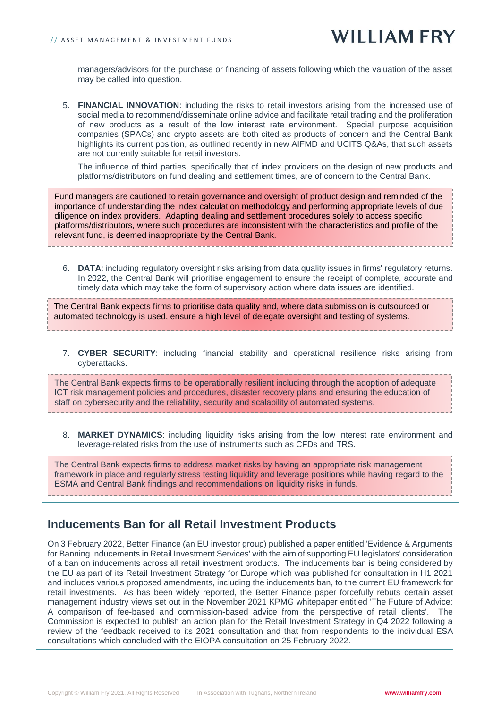managers/advisors for the purchase or financing of assets following which the valuation of the asset may be called into question.

5. **FINANCIAL INNOVATION**: including the risks to retail investors arising from the increased use of social media to recommend/disseminate online advice and facilitate retail trading and the proliferation of new products as a result of the low interest rate environment. Special purpose acquisition companies (SPACs) and crypto assets are both cited as products of concern and the Central Bank highlights its current position, as outlined recently in new AIFMD and UCITS Q&As, that such assets are not currently suitable for retail investors.

The influence of third parties, specifically that of index providers on the design of new products and platforms/distributors on fund dealing and settlement times, are of concern to the Central Bank.

Fund managers are cautioned to retain governance and oversight of product design and reminded of the importance of understanding the index calculation methodology and performing appropriate levels of due diligence on index providers. Adapting dealing and settlement procedures solely to access specific platforms/distributors, where such procedures are inconsistent with the characteristics and profile of the relevant fund, is deemed inappropriate by the Central Bank.

6. **DATA**: including regulatory oversight risks arising from data quality issues in firms' regulatory returns. In 2022, the Central Bank will prioritise engagement to ensure the receipt of complete, accurate and timely data which may take the form of supervisory action where data issues are identified.

The Central Bank expects firms to prioritise data quality and, where data submission is outsourced or automated technology is used, ensure a high level of delegate oversight and testing of systems.

7. **CYBER SECURITY**: including financial stability and operational resilience risks arising from cyberattacks.

The Central Bank expects firms to be operationally resilient including through the adoption of adequate ICT risk management policies and procedures, disaster recovery plans and ensuring the education of staff on cybersecurity and the reliability, security and scalability of automated systems.

8. **MARKET DYNAMICS**: including liquidity risks arising from the low interest rate environment and leverage-related risks from the use of instruments such as CFDs and TRS.

The Central Bank expects firms to address market risks by having an appropriate risk management framework in place and regularly stress testing liquidity and leverage positions while having regard to the ESMA and Central Bank findings and recommendations on liquidity risks in funds.

## **Inducements Ban for all Retail Investment Products**

On 3 February 2022, Better Finance (an EU investor group) published a paper entitled 'Evidence & Arguments for Banning Inducements in Retail Investment Services' with the aim of supporting EU legislators' consideration of a ban on inducements across all retail investment products. The inducements ban is being considered by the EU as part of its Retail Investment Strategy for Europe which was published for consultation in H1 2021 and includes various proposed amendments, including the inducements ban, to the current EU framework for retail investments. As has been widely reported, the Better Finance paper forcefully rebuts certain asset management industry views set out in the November 2021 KPMG whitepaper entitled 'The Future of Advice: A comparison of fee-based and commission-based advice from the perspective of retail clients'. The Commission is expected to publish an action plan for the Retail Investment Strategy in Q4 2022 following a review of the feedback received to its 2021 consultation and that from respondents to the individual ESA consultations which concluded with the EIOPA consultation on 25 February 2022.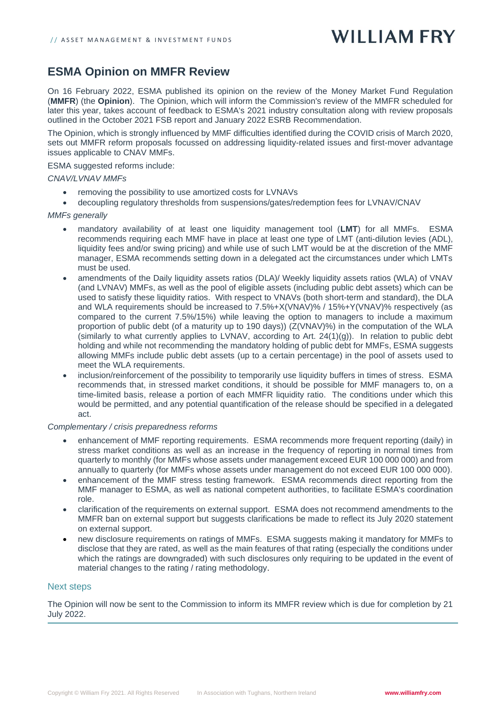## **ESMA Opinion on MMFR Review**

On 16 February 2022, ESMA published its opinion on the review of the Money Market Fund Regulation (**MMFR**) (the **Opinion**). The Opinion, which will inform the Commission's review of the MMFR scheduled for later this year, takes account of feedback to ESMA's 2021 industry consultation along with review proposals outlined in the October 2021 FSB report and January 2022 ESRB Recommendation.

The Opinion, which is strongly influenced by MMF difficulties identified during the COVID crisis of March 2020, sets out MMFR reform proposals focussed on addressing liquidity-related issues and first-mover advantage issues applicable to CNAV MMFs.

ESMA suggested reforms include:

### *CNAV/LVNAV MMFs*

- removing the possibility to use amortized costs for LVNAVs
- decoupling regulatory thresholds from suspensions/gates/redemption fees for LVNAV/CNAV

### *MMFs generally*

- mandatory availability of at least one liquidity management tool (**LMT**) for all MMFs. ESMA recommends requiring each MMF have in place at least one type of LMT (anti-dilution levies (ADL), liquidity fees and/or swing pricing) and while use of such LMT would be at the discretion of the MMF manager, ESMA recommends setting down in a delegated act the circumstances under which LMTs must be used.
- amendments of the Daily liquidity assets ratios (DLA)/ Weekly liquidity assets ratios (WLA) of VNAV (and LVNAV) MMFs, as well as the pool of eligible assets (including public debt assets) which can be used to satisfy these liquidity ratios. With respect to VNAVs (both short-term and standard), the DLA and WLA requirements should be increased to 7.5%+X(VNAV)% / 15%+Y(VNAV)% respectively (as compared to the current 7.5%/15%) while leaving the option to managers to include a maximum proportion of public debt (of a maturity up to 190 days)) (Z(VNAV)%) in the computation of the WLA (similarly to what currently applies to LVNAV, according to Art.  $24(1)(g)$ ). In relation to public debt holding and while not recommending the mandatory holding of public debt for MMFs, ESMA suggests allowing MMFs include public debt assets (up to a certain percentage) in the pool of assets used to meet the WLA requirements.
- inclusion/reinforcement of the possibility to temporarily use liquidity buffers in times of stress. ESMA recommends that, in stressed market conditions, it should be possible for MMF managers to, on a time-limited basis, release a portion of each MMFR liquidity ratio. The conditions under which this would be permitted, and any potential quantification of the release should be specified in a delegated act.

### *Complementary / crisis preparedness reforms*

- enhancement of MMF reporting requirements. ESMA recommends more frequent reporting (daily) in stress market conditions as well as an increase in the frequency of reporting in normal times from quarterly to monthly (for MMFs whose assets under management exceed EUR 100 000 000) and from annually to quarterly (for MMFs whose assets under management do not exceed EUR 100 000 000).
- enhancement of the MMF stress testing framework. ESMA recommends direct reporting from the MMF manager to ESMA, as well as national competent authorities, to facilitate ESMA's coordination role.
- clarification of the requirements on external support. ESMA does not recommend amendments to the MMFR ban on external support but suggests clarifications be made to reflect its July 2020 statement on external support.
- new disclosure requirements on ratings of MMFs. ESMA suggests making it mandatory for MMFs to disclose that they are rated, as well as the main features of that rating (especially the conditions under which the ratings are downgraded) with such disclosures only requiring to be updated in the event of material changes to the rating / rating methodology.

### Next steps

The Opinion will now be sent to the Commission to inform its MMFR review which is due for completion by 21 July 2022.